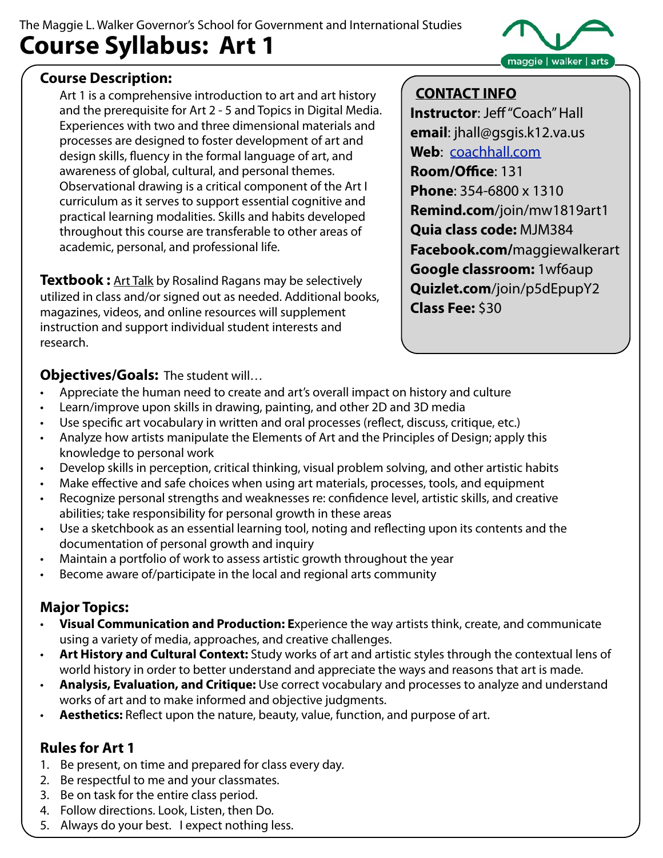## The Maggie L. Walker Governor's School for Government and International Studies **Course Syllabus: Art 1**



#### **Course Description:**

Art 1 is a comprehensive introduction to art and art history and the prerequisite for Art 2 - 5 and Topics in Digital Media. Experiences with two and three dimensional materials and processes are designed to foster development of art and design skills, fluency in the formal language of art, and awareness of global, cultural, and personal themes. Observational drawing is a critical component of the Art I curriculum as it serves to support essential cognitive and practical learning modalities. Skills and habits developed throughout this course are transferable to other areas of academic, personal, and professional life.

**Textbook :** Art Talk by Rosalind Ragans may be selectively utilized in class and/or signed out as needed. Additional books, magazines, videos, and online resources will supplement instruction and support individual student interests and research.

#### **CONTACT INFO**

**Instructor**: Jeff "Coach" Hall **email**: jhall@gsgis.k12.va.us **Web**: [coachhall.com](http://www.coachhall.com) **Room/Office**: 131 **Phone**: 354-6800 x 1310 **Remind.com**/join/mw1819art1 **Quia class code:** MJM384 **Facebook.com/**maggiewalkerart **Google classroom:** 1wf6aup **Quizlet.com**/join/p5dEpupY2 **Class Fee:** \$30

**Objectives/Goals:** The student will…

- Appreciate the human need to create and art's overall impact on history and culture
- Learn/improve upon skills in drawing, painting, and other 2D and 3D media
- Use specific art vocabulary in written and oral processes (reflect, discuss, critique, etc.)
- Analyze how artists manipulate the Elements of Art and the Principles of Design; apply this knowledge to personal work
- Develop skills in perception, critical thinking, visual problem solving, and other artistic habits
- Make effective and safe choices when using art materials, processes, tools, and equipment
- Recognize personal strengths and weaknesses re: confidence level, artistic skills, and creative abilities; take responsibility for personal growth in these areas
- Use a sketchbook as an essential learning tool, noting and reflecting upon its contents and the documentation of personal growth and inquiry
- Maintain a portfolio of work to assess artistic growth throughout the year
- Become aware of/participate in the local and regional arts community

### **Major Topics:**

- **Visual Communication and Production: E**xperience the way artists think, create, and communicate using a variety of media, approaches, and creative challenges.
- **Art History and Cultural Context:** Study works of art and artistic styles through the contextual lens of world history in order to better understand and appreciate the ways and reasons that art is made.
- **Analysis, Evaluation, and Critique:** Use correct vocabulary and processes to analyze and understand works of art and to make informed and objective judgments.
- **Aesthetics:** Reflect upon the nature, beauty, value, function, and purpose of art.

### **Rules for Art 1**

- 1. Be present, on time and prepared for class every day.
- 2. Be respectful to me and your classmates.
- 3. Be on task for the entire class period.
- 4. Follow directions. Look, Listen, then Do.
- 5. Always do your best. I expect nothing less.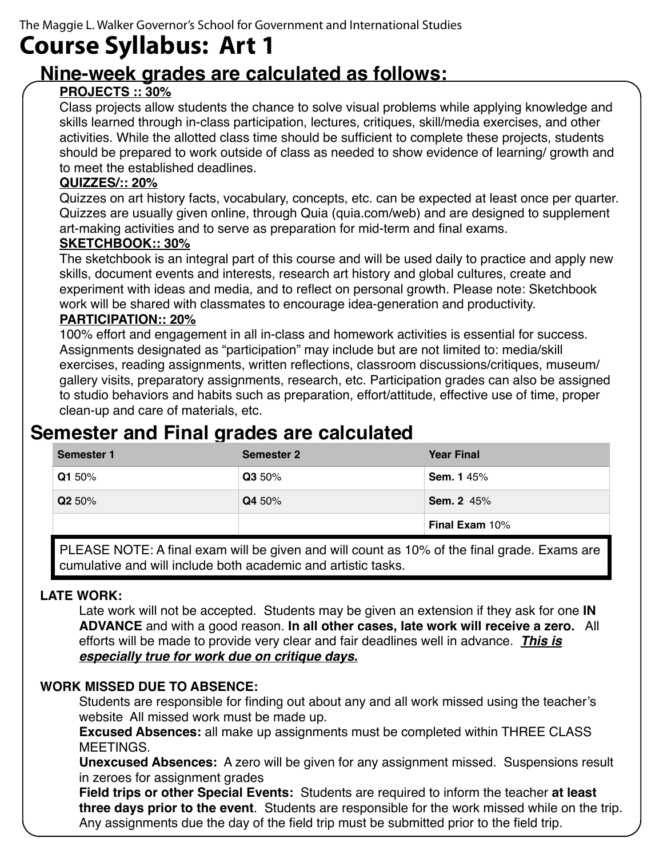# **Course Syllabus: Art 1**

# **Nine-week grades are calculated as follows:**

#### **PROJECTS :: 30%**

Class projects allow students the chance to solve visual problems while applying knowledge and skills learned through in-class participation, lectures, critiques, skill/media exercises, and other activities. While the allotted class time should be sufficient to complete these projects, students should be prepared to work outside of class as needed to show evidence of learning/ growth and to meet the established deadlines.

#### **QUIZZES/:: 20%**

Quizzes on art history facts, vocabulary, concepts, etc. can be expected at least once per quarter. Quizzes are usually given online, through Quia (quia.com/web) and are designed to supplement art-making activities and to serve as preparation for mid-term and final exams.

#### **SKETCHBOOK:: 30%**

The sketchbook is an integral part of this course and will be used daily to practice and apply new skills, document events and interests, research art history and global cultures, create and experiment with ideas and media, and to reflect on personal growth. Please note: Sketchbook work will be shared with classmates to encourage idea-generation and productivity.

#### **PARTICIPATION:: 20%**

100% effort and engagement in all in-class and homework activities is essential for success. Assignments designated as "participation" may include but are not limited to: media/skill exercises, reading assignments, written reflections, classroom discussions/critiques, museum/ gallery visits, preparatory assignments, research, etc. Participation grades can also be assigned to studio behaviors and habits such as preparation, effort/attitude, effective use of time, proper clean-up and care of materials, etc.

# **Semester and Final grades are calculated**

| Semester 1 | <b>Semester 2</b> | <b>Year Final</b>     |
|------------|-------------------|-----------------------|
| Q1 50%     | Q3 50%            | <b>Sem. 145%</b>      |
| Q2 50%     | Q4 50%            | <b>Sem. 2 45%</b>     |
|            |                   | <b>Final Exam 10%</b> |

PLEASE NOTE: A final exam will be given and will count as 10% of the final grade. Exams are cumulative and will include both academic and artistic tasks.

#### **LATE WORK:**

Late work will not be accepted. Students may be given an extension if they ask for one **IN ADVANCE** and with a good reason. **In all other cases, late work will receive a zero.** All efforts will be made to provide very clear and fair deadlines well in advance. *This is especially true for work due on critique days.*

#### **WORK MISSED DUE TO ABSENCE:**

Students are responsible for finding out about any and all work missed using the teacher's website All missed work must be made up.

**Excused Absences:** all make up assignments must be completed within THREE CLASS MEETINGS.

**Unexcused Absences:** A zero will be given for any assignment missed. Suspensions result in zeroes for assignment grades

**Field trips or other Special Events:** Students are required to inform the teacher **at least three days prior to the event**. Students are responsible for the work missed while on the trip. Any assignments due the day of the field trip must be submitted prior to the field trip.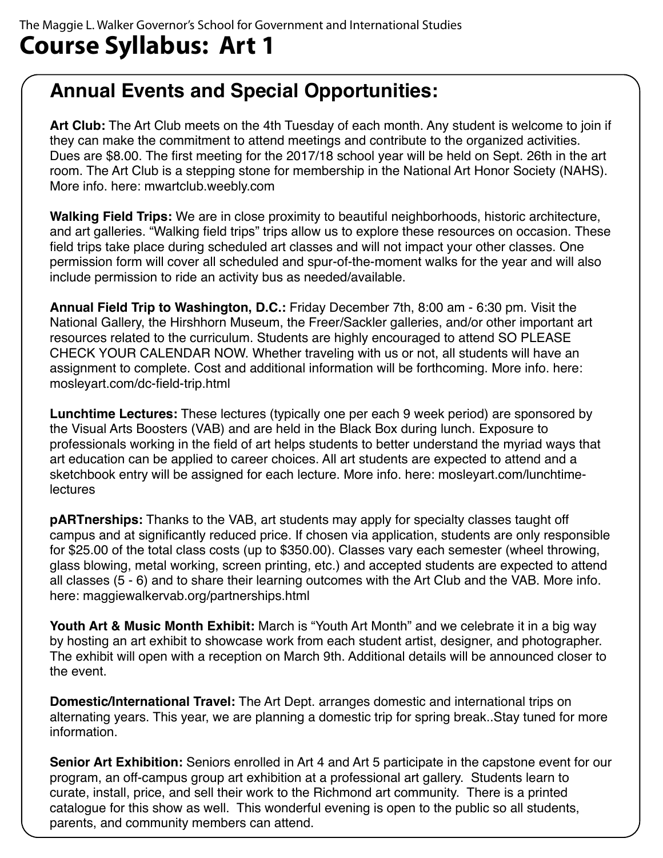# **Course Syllabus: Art 1**

# **Annual Events and Special Opportunities:**

**Art Club:** The Art Club meets on the 4th Tuesday of each month. Any student is welcome to join if they can make the commitment to attend meetings and contribute to the organized activities. Dues are \$8.00. The first meeting for the 2017/18 school year will be held on Sept. 26th in the art room. The Art Club is a stepping stone for membership in the National Art Honor Society (NAHS). More info. here: mwartclub.weebly.com

**Walking Field Trips:** We are in close proximity to beautiful neighborhoods, historic architecture, and art galleries. "Walking field trips" trips allow us to explore these resources on occasion. These field trips take place during scheduled art classes and will not impact your other classes. One permission form will cover all scheduled and spur-of-the-moment walks for the year and will also include permission to ride an activity bus as needed/available.

**Annual Field Trip to Washington, D.C.:** Friday December 7th, 8:00 am - 6:30 pm. Visit the National Gallery, the Hirshhorn Museum, the Freer/Sackler galleries, and/or other important art resources related to the curriculum. Students are highly encouraged to attend SO PLEASE CHECK YOUR CALENDAR NOW. Whether traveling with us or not, all students will have an assignment to complete. Cost and additional information will be forthcoming. More info. here: mosleyart.com/dc-field-trip.html

**Lunchtime Lectures:** These lectures (typically one per each 9 week period) are sponsored by the Visual Arts Boosters (VAB) and are held in the Black Box during lunch. Exposure to professionals working in the field of art helps students to better understand the myriad ways that art education can be applied to career choices. All art students are expected to attend and a sketchbook entry will be assigned for each lecture. More info. here: mosleyart.com/lunchtime**lectures** 

**pARTnerships:** Thanks to the VAB, art students may apply for specialty classes taught off campus and at significantly reduced price. If chosen via application, students are only responsible for \$25.00 of the total class costs (up to \$350.00). Classes vary each semester (wheel throwing, glass blowing, metal working, screen printing, etc.) and accepted students are expected to attend all classes (5 - 6) and to share their learning outcomes with the Art Club and the VAB. More info. here: maggiewalkervab.org/partnerships.html

**Youth Art & Music Month Exhibit:** March is "Youth Art Month" and we celebrate it in a big way by hosting an art exhibit to showcase work from each student artist, designer, and photographer. The exhibit will open with a reception on March 9th. Additional details will be announced closer to the event.

**Domestic/International Travel:** The Art Dept. arranges domestic and international trips on alternating years. This year, we are planning a domestic trip for spring break..Stay tuned for more information.

**Senior Art Exhibition:** Seniors enrolled in Art 4 and Art 5 participate in the capstone event for our program, an off-campus group art exhibition at a professional art gallery. Students learn to curate, install, price, and sell their work to the Richmond art community. There is a printed catalogue for this show as well. This wonderful evening is open to the public so all students, parents, and community members can attend.